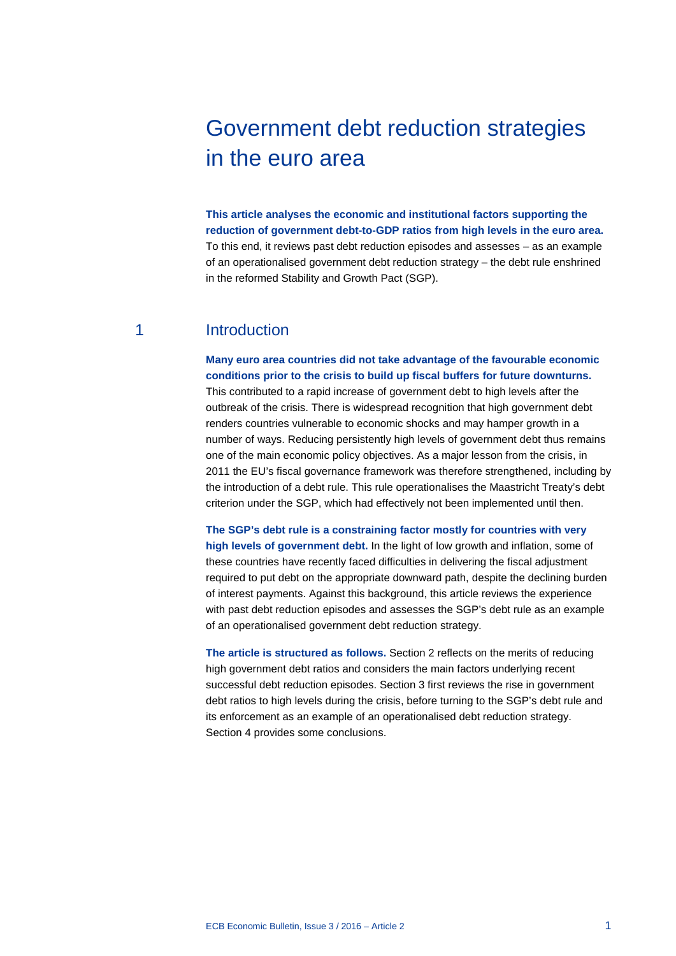# Government debt reduction strategies in the euro area

**This article analyses the economic and institutional factors supporting the reduction of government debt-to-GDP ratios from high levels in the euro area.** To this end, it reviews past debt reduction episodes and assesses – as an example of an operationalised government debt reduction strategy – the debt rule enshrined in the reformed Stability and Growth Pact (SGP).

# 1 Introduction

**Many euro area countries did not take advantage of the favourable economic conditions prior to the crisis to build up fiscal buffers for future downturns.**  This contributed to a rapid increase of government debt to high levels after the outbreak of the crisis. There is widespread recognition that high government debt renders countries vulnerable to economic shocks and may hamper growth in a number of ways. Reducing persistently high levels of government debt thus remains one of the main economic policy objectives. As a major lesson from the crisis, in 2011 the EU's fiscal governance framework was therefore strengthened, including by the introduction of a debt rule. This rule operationalises the Maastricht Treaty's debt criterion under the SGP, which had effectively not been implemented until then.

**The SGP's debt rule is a constraining factor mostly for countries with very high levels of government debt.** In the light of low growth and inflation, some of these countries have recently faced difficulties in delivering the fiscal adjustment required to put debt on the appropriate downward path, despite the declining burden of interest payments. Against this background, this article reviews the experience with past debt reduction episodes and assesses the SGP's debt rule as an example of an operationalised government debt reduction strategy.

**The article is structured as follows.** Section 2 reflects on the merits of reducing high government debt ratios and considers the main factors underlying recent successful debt reduction episodes. Section 3 first reviews the rise in government debt ratios to high levels during the crisis, before turning to the SGP's debt rule and its enforcement as an example of an operationalised debt reduction strategy. Section 4 provides some conclusions.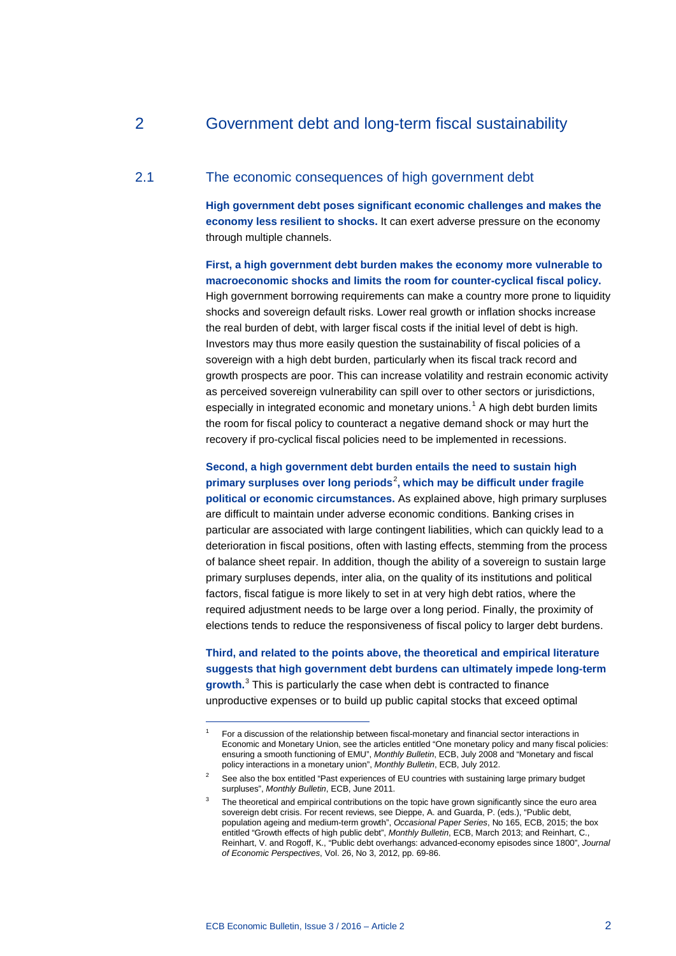# 2 Government debt and long-term fiscal sustainability

## 2.1 The economic consequences of high government debt

**High government debt poses significant economic challenges and makes the economy less resilient to shocks.** It can exert adverse pressure on the economy through multiple channels.

**First, a high government debt burden makes the economy more vulnerable to macroeconomic shocks and limits the room for counter-cyclical fiscal policy.** High government borrowing requirements can make a country more prone to liquidity shocks and sovereign default risks. Lower real growth or inflation shocks increase the real burden of debt, with larger fiscal costs if the initial level of debt is high. Investors may thus more easily question the sustainability of fiscal policies of a sovereign with a high debt burden, particularly when its fiscal track record and growth prospects are poor. This can increase volatility and restrain economic activity as perceived sovereign vulnerability can spill over to other sectors or jurisdictions, especially in integrated economic and monetary unions.<sup>[1](#page-1-0)</sup> A high debt burden limits the room for fiscal policy to counteract a negative demand shock or may hurt the recovery if pro-cyclical fiscal policies need to be implemented in recessions.

**Second, a high government debt burden entails the need to sustain high primary surpluses over long periods**[2](#page-1-1) **, which may be difficult under fragile political or economic circumstances.** As explained above, high primary surpluses are difficult to maintain under adverse economic conditions. Banking crises in particular are associated with large contingent liabilities, which can quickly lead to a deterioration in fiscal positions, often with lasting effects, stemming from the process of balance sheet repair. In addition, though the ability of a sovereign to sustain large primary surpluses depends, inter alia, on the quality of its institutions and political factors, fiscal fatigue is more likely to set in at very high debt ratios, where the required adjustment needs to be large over a long period. Finally, the proximity of

**Third, and related to the points above, the theoretical and empirical literature suggests that high government debt burdens can ultimately impede long-term growth.**[3](#page-1-2) This is particularly the case when debt is contracted to finance unproductive expenses or to build up public capital stocks that exceed optimal

elections tends to reduce the responsiveness of fiscal policy to larger debt burdens.

<span id="page-1-0"></span>For a discussion of the relationship between fiscal-monetary and financial sector interactions in Economic and Monetary Union, see the articles entitled "One monetary policy and many fiscal policies: ensuring a smooth functioning of EMU", *Monthly Bulletin*, ECB, July 2008 and "Monetary and fiscal policy interactions in a monetary union", *Monthly Bulletin*, ECB, July 2012.

<span id="page-1-1"></span><sup>2</sup> See also the box entitled "Past experiences of EU countries with sustaining large primary budget surpluses", *Monthly Bulletin*, ECB, June 2011.

<span id="page-1-2"></span>The theoretical and empirical contributions on the topic have grown significantly since the euro area sovereign debt crisis. For recent reviews, see Dieppe, A. and Guarda, P. (eds.), "Public debt, population ageing and medium-term growth", *Occasional Paper Series*, No 165, ECB, 2015; the box entitled "Growth effects of high public debt", *Monthly Bulletin*, ECB, March 2013; and Reinhart, C., Reinhart, V. and Rogoff, K., "Public debt overhangs: advanced-economy episodes since 1800", *Journal of Economic Perspectives*, Vol. 26, No 3, 2012, pp. 69-86.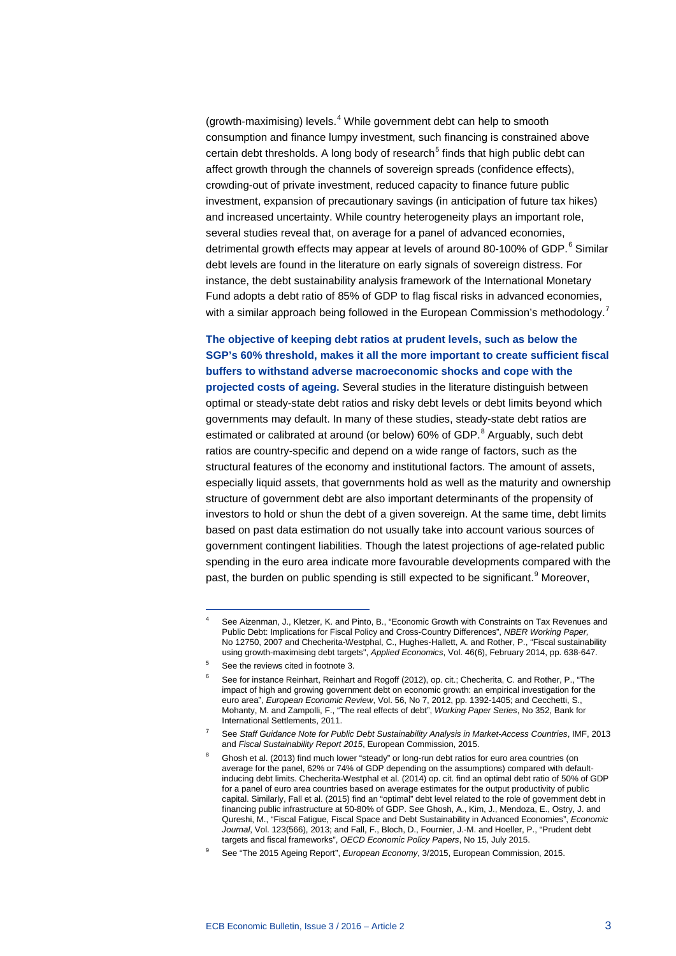(growth-maximising) levels. [4](#page-2-0) While government debt can help to smooth consumption and finance lumpy investment, such financing is constrained above certain debt thresholds. A long body of research<sup>[5](#page-2-1)</sup> finds that high public debt can affect growth through the channels of sovereign spreads (confidence effects), crowding-out of private investment, reduced capacity to finance future public investment, expansion of precautionary savings (in anticipation of future tax hikes) and increased uncertainty. While country heterogeneity plays an important role, several studies reveal that, on average for a panel of advanced economies, detrimental growth effects may appear at levels of around 80-100% of GDP.<sup>[6](#page-2-2)</sup> Similar debt levels are found in the literature on early signals of sovereign distress. For instance, the debt sustainability analysis framework of the International Monetary Fund adopts a debt ratio of 85% of GDP to flag fiscal risks in advanced economies, with a similar approach being followed in the European Commission's methodology.<sup>[7](#page-2-3)</sup>

**The objective of keeping debt ratios at prudent levels, such as below the SGP's 60% threshold, makes it all the more important to create sufficient fiscal buffers to withstand adverse macroeconomic shocks and cope with the projected costs of ageing.** Several studies in the literature distinguish between optimal or steady-state debt ratios and risky debt levels or debt limits beyond which governments may default. In many of these studies, steady-state debt ratios are estimated or calibrated at around (or below) 60% of GDP.<sup>[8](#page-2-4)</sup> Arguably, such debt ratios are country-specific and depend on a wide range of factors, such as the structural features of the economy and institutional factors. The amount of assets, especially liquid assets, that governments hold as well as the maturity and ownership structure of government debt are also important determinants of the propensity of investors to hold or shun the debt of a given sovereign. At the same time, debt limits based on past data estimation do not usually take into account various sources of government contingent liabilities. Though the latest projections of age-related public spending in the euro area indicate more favourable developments compared with the past, the burden on public spending is still expected to be significant.<sup>[9](#page-2-5)</sup> Moreover,

<span id="page-2-0"></span>See Aizenman, J., Kletzer, K. and Pinto, B., "Economic Growth with Constraints on Tax Revenues and Public Debt: Implications for Fiscal Policy and Cross-Country Differences", *NBER Working Paper,*  No 12750, 2007 and Checherita-Westphal, C., Hughes-Hallett, A. and Rother, P., "Fiscal sustainability using growth-maximising debt targets", *[Applied Economics](https://ideas.repec.org/s/taf/applec.html)*, Vol. 46(6), February 2014, pp. 638-647.

<span id="page-2-2"></span><span id="page-2-1"></span><sup>5</sup> See the reviews cited in footnote 3.

<sup>6</sup> See for instance Reinhart, Reinhart and Rogoff (2012), op. cit.; Checherita, C. and Rother, P., "The impact of high and growing government debt on economic growth: an empirical investigation for the euro area", *European Economic Review*, Vol. 56, No 7, 2012, pp. 1392-1405; and Cecchetti, S., Mohanty, M. and Zampolli, F., "The real effects of debt", *Working Paper Series*, No 352, Bank for International Settlements, 2011.

<span id="page-2-3"></span><sup>7</sup> See *Staff Guidance Note for Public Debt Sustainability Analysis in Market-Access Countries*, IMF, 2013 and *Fiscal Sustainability Report 2015*, European Commission, 2015.

<span id="page-2-4"></span>Ghosh et al. (2013) find much lower "steady" or long-run debt ratios for euro area countries (on average for the panel, 62% or 74% of GDP depending on the assumptions) compared with defaultinducing debt limits. Checherita-Westphal et al. (2014) op. cit. find an optimal debt ratio of 50% of GDP for a panel of euro area countries based on average estimates for the output productivity of public capital. Similarly, Fall et al. (2015) find an "optimal" debt level related to the role of government debt in financing public infrastructure at 50-80% of GDP. See Ghosh, A., Kim, J., Mendoza, E., Ostry, J. and Qureshi, M., "Fiscal Fatigue, Fiscal Space and Debt Sustainability in Advanced Economies", *Economic Journal*, Vol. 123(566), 2013; and Fall, F., Bloch, D., Fournier, J.-M. and Hoeller, P., "Prudent debt targets and fiscal frameworks", *OECD Economic Policy Papers*, No 15, July 2015.

<span id="page-2-5"></span><sup>9</sup> See "The 2015 Ageing Report", *European Economy*, 3/2015, European Commission, 2015.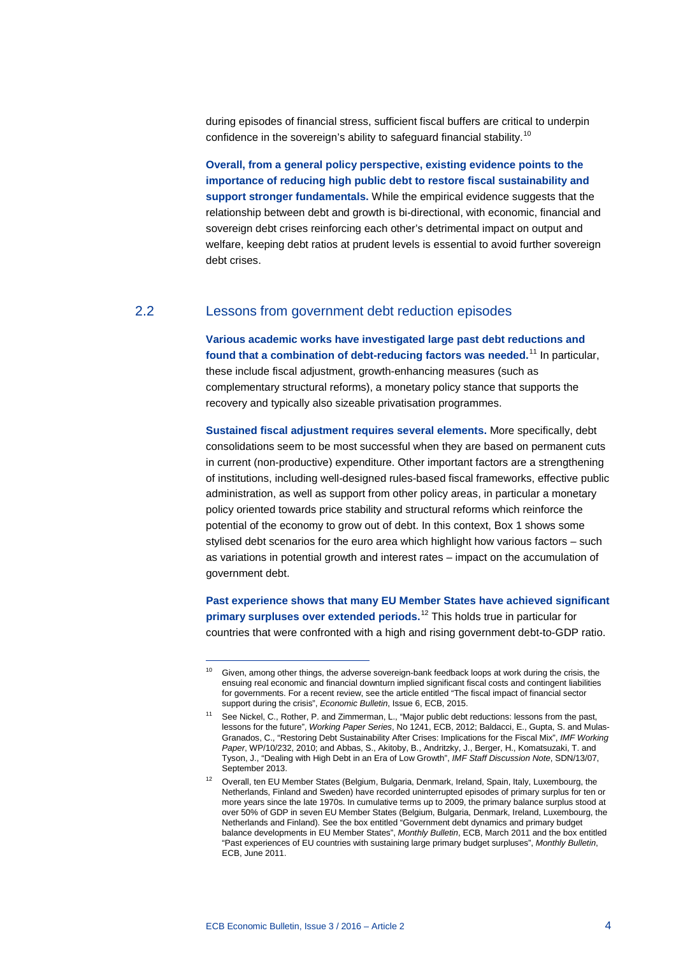during episodes of financial stress, sufficient fiscal buffers are critical to underpin confidence in the sovereign's ability to safeguard financial stability.<sup>[10](#page-3-0)</sup>

**Overall, from a general policy perspective, existing evidence points to the importance of reducing high public debt to restore fiscal sustainability and support stronger fundamentals.** While the empirical evidence suggests that the relationship between debt and growth is bi-directional, with economic, financial and sovereign debt crises reinforcing each other's detrimental impact on output and welfare, keeping debt ratios at prudent levels is essential to avoid further sovereign debt crises.

# 2.2 Lessons from government debt reduction episodes

**Various academic works have investigated large past debt reductions and found that a combination of debt-reducing factors was needed.** [11](#page-3-1) In particular, these include fiscal adjustment, growth-enhancing measures (such as complementary structural reforms), a monetary policy stance that supports the recovery and typically also sizeable privatisation programmes.

**Sustained fiscal adjustment requires several elements.** More specifically, debt consolidations seem to be most successful when they are based on permanent cuts in current (non-productive) expenditure. Other important factors are a strengthening of institutions, including well-designed rules-based fiscal frameworks, effective public administration, as well as support from other policy areas, in particular a monetary policy oriented towards price stability and structural reforms which reinforce the potential of the economy to grow out of debt. In this context, Box 1 shows some stylised debt scenarios for the euro area which highlight how various factors – such as variations in potential growth and interest rates – impact on the accumulation of government debt.

**Past experience shows that many EU Member States have achieved significant primary surpluses over extended periods.**[12](#page-3-2) This holds true in particular for countries that were confronted with a high and rising government debt-to-GDP ratio.

<span id="page-3-0"></span><sup>&</sup>lt;sup>10</sup> Given, among other things, the adverse sovereign-bank feedback loops at work during the crisis, the ensuing real economic and financial downturn implied significant fiscal costs and contingent liabilities for governments. For a recent review, see the article entitled "The fiscal impact of financial sector support during the crisis", *Economic Bulletin*, Issue 6, ECB, 2015.

<span id="page-3-1"></span><sup>11</sup> See Nickel, C., Rother, P. and Zimmerman, L., "Major public debt reductions: lessons from the past, lessons for the future", *Working Paper Series*, No 1241, ECB, 2012; Baldacci, E., Gupta, S. and Mulas-Granados, C., "Restoring Debt Sustainability After Crises: Implications for the Fiscal Mix", *IMF Working Paper*, WP/10/232, 2010; and Abbas, S., Akitoby, B., Andritzky, J., Berger, H., Komatsuzaki, T. and Tyson, J., "Dealing with High Debt in an Era of Low Growth", *IMF Staff Discussion Note*, SDN/13/07, September 2013.

<span id="page-3-2"></span><sup>&</sup>lt;sup>12</sup> Overall, ten EU Member States (Belgium, Bulgaria, Denmark, Ireland, Spain, Italy, Luxembourg, the Netherlands, Finland and Sweden) have recorded uninterrupted episodes of primary surplus for ten or more years since the late 1970s. In cumulative terms up to 2009, the primary balance surplus stood at over 50% of GDP in seven EU Member States (Belgium, Bulgaria, Denmark, Ireland, Luxembourg, the Netherlands and Finland). See the box entitled "Government debt dynamics and primary budget balance developments in EU Member States", *Monthly Bulletin*, ECB, March 2011 and the box entitled "Past experiences of EU countries with sustaining large primary budget surpluses", *Monthly Bulletin*, ECB, June 2011.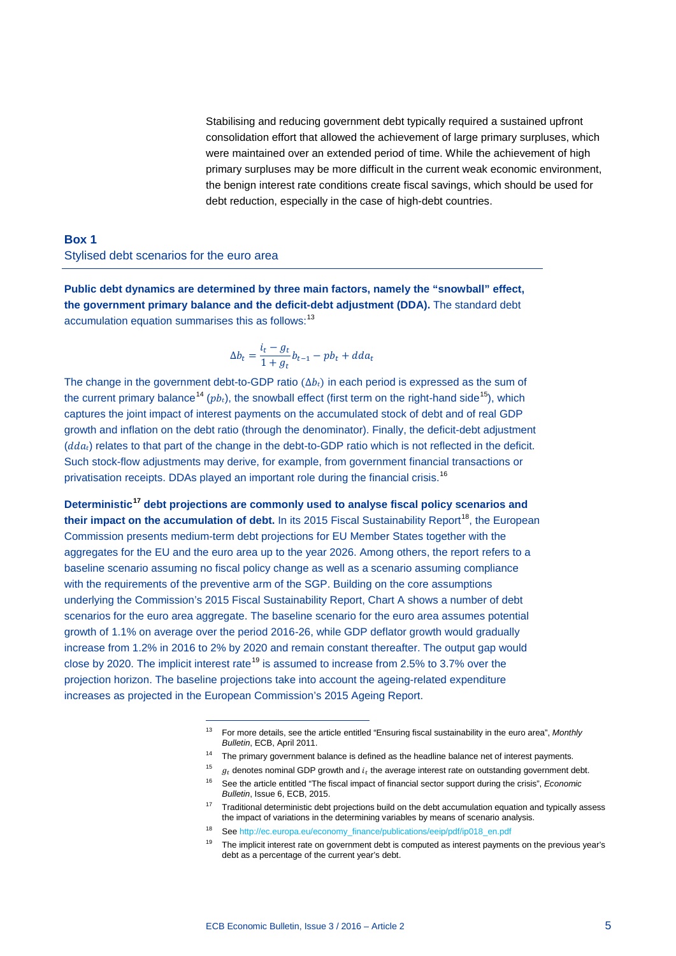Stabilising and reducing government debt typically required a sustained upfront consolidation effort that allowed the achievement of large primary surpluses, which were maintained over an extended period of time. While the achievement of high primary surpluses may be more difficult in the current weak economic environment, the benign interest rate conditions create fiscal savings, which should be used for debt reduction, especially in the case of high-debt countries.

# **Box 1** Stylised debt scenarios for the euro area

**Public debt dynamics are determined by three main factors, namely the "snowball" effect, the government primary balance and the deficit-debt adjustment (DDA).** The standard debt accumulation equation summarises this as follows:<sup>[13](#page-4-0)</sup>

$$
\Delta b_t = \frac{i_t - g_t}{1 + g_t} b_{t-1} - p b_t + d d a_t
$$

The change in the government debt-to-GDP ratio ( $\Delta b_i$ ) in each period is expressed as the sum of the current primary balance<sup>[14](#page-4-1)</sup> ( $pb<sub>i</sub>$ ), the snowball effect (first term on the right-hand side<sup>15</sup>), which captures the joint impact of interest payments on the accumulated stock of debt and of real GDP growth and inflation on the debt ratio (through the denominator). Finally, the deficit-debt adjustment  $(dda_t)$  relates to that part of the change in the debt-to-GDP ratio which is not reflected in the deficit. Such stock-flow adjustments may derive, for example, from government financial transactions or privatisation receipts. DDAs played an important role during the financial crisis.<sup>[16](#page-4-3)</sup>

**Deterministic[17](#page-4-4) debt projections are commonly used to analyse fiscal policy scenarios and**  their impact on the accumulation of debt. In its 2015 Fiscal Sustainability Report<sup>[18](#page-4-5)</sup>, the European Commission presents medium-term debt projections for EU Member States together with the aggregates for the EU and the euro area up to the year 2026. Among others, the report refers to a baseline scenario assuming no fiscal policy change as well as a scenario assuming compliance with the requirements of the preventive arm of the SGP. Building on the core assumptions underlying the Commission's 2015 Fiscal Sustainability Report, Chart A shows a number of debt scenarios for the euro area aggregate. The baseline scenario for the euro area assumes potential growth of 1.1% on average over the period 2016-26, while GDP deflator growth would gradually increase from 1.2% in 2016 to 2% by 2020 and remain constant thereafter. The output gap would close by 2020. The implicit interest rate<sup>[19](#page-4-6)</sup> is assumed to increase from 2.5% to 3.7% over the projection horizon. The baseline projections take into account the ageing-related expenditure increases as projected in the European Commission's 2015 Ageing Report.

<span id="page-4-0"></span><sup>13</sup> For more details, see the article entitled "Ensuring fiscal sustainability in the euro area", *Monthly Bulletin*, ECB, April 2011.

<span id="page-4-1"></span><sup>&</sup>lt;sup>14</sup> The primary government balance is defined as the headline balance net of interest payments.

<span id="page-4-2"></span><sup>&</sup>lt;sup>15</sup>  $g_t$ , denotes nominal GDP growth and  $i_t$  the average interest rate on outstanding government debt.

<span id="page-4-3"></span><sup>16</sup> See the article entitled "The fiscal impact of financial sector support during the crisis", *Economic Bulletin*, Issue 6, ECB, 2015.

<span id="page-4-4"></span><sup>&</sup>lt;sup>17</sup> Traditional deterministic debt projections build on the debt accumulation equation and typically assess the impact of variations in the determining variables by means of scenario analysis.

<span id="page-4-5"></span><sup>18</sup> Se[e http://ec.europa.eu/economy\\_finance/publications/eeip/pdf/ip018\\_en.pdf](http://ec.europa.eu/economy_finance/publications/eeip/pdf/ip018_en.pdf)

<span id="page-4-6"></span><sup>&</sup>lt;sup>19</sup> The implicit interest rate on government debt is computed as interest payments on the previous year's debt as a percentage of the current year's debt.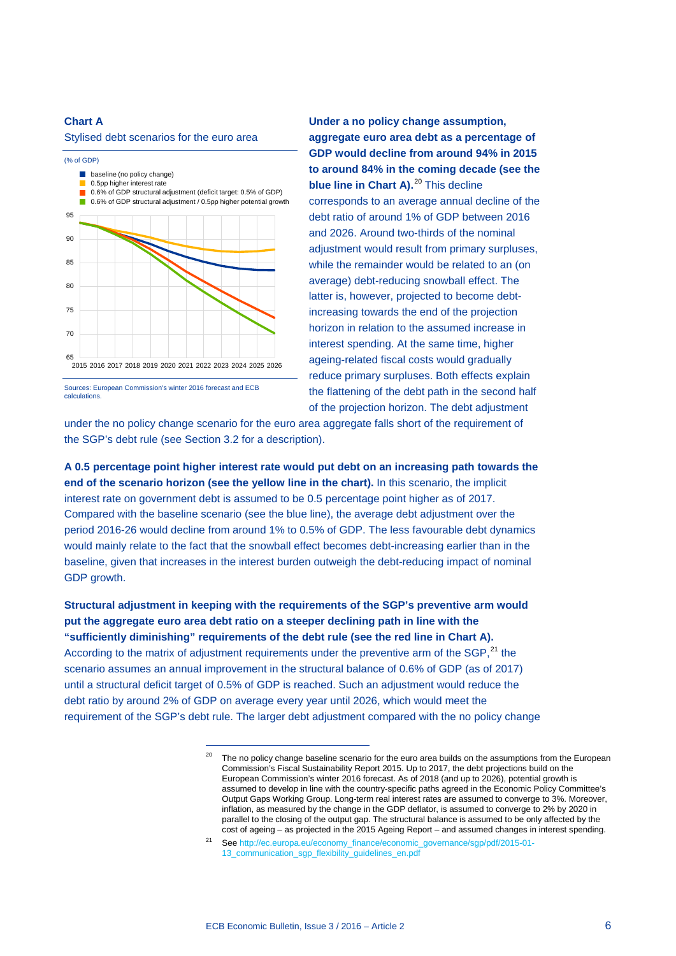#### **Chart A**

Stylised debt scenarios for the euro area



Sources: European Commission's winter 2016 forecast and ECB calculations.

**Under a no policy change assumption, aggregate euro area debt as a percentage of GDP would decline from around 94% in 2015 to around 84% in the coming decade (see the blue line in Chart A).<sup>[20](#page-5-0)</sup> This decline** corresponds to an average annual decline of the debt ratio of around 1% of GDP between 2016 and 2026. Around two-thirds of the nominal adjustment would result from primary surpluses, while the remainder would be related to an (on average) debt-reducing snowball effect. The latter is, however, projected to become debtincreasing towards the end of the projection horizon in relation to the assumed increase in interest spending. At the same time, higher ageing-related fiscal costs would gradually reduce primary surpluses. Both effects explain the flattening of the debt path in the second half of the projection horizon. The debt adjustment

under the no policy change scenario for the euro area aggregate falls short of the requirement of the SGP's debt rule (see Section 3.2 for a description).

**A 0.5 percentage point higher interest rate would put debt on an increasing path towards the end of the scenario horizon (see the yellow line in the chart).** In this scenario, the implicit interest rate on government debt is assumed to be 0.5 percentage point higher as of 2017. Compared with the baseline scenario (see the blue line), the average debt adjustment over the period 2016-26 would decline from around 1% to 0.5% of GDP. The less favourable debt dynamics would mainly relate to the fact that the snowball effect becomes debt-increasing earlier than in the baseline, given that increases in the interest burden outweigh the debt-reducing impact of nominal GDP growth.

<span id="page-5-0"></span>**Structural adjustment in keeping with the requirements of the SGP's preventive arm would put the aggregate euro area debt ratio on a steeper declining path in line with the "sufficiently diminishing" requirements of the debt rule (see the red line in Chart A).** According to the matrix of adjustment requirements under the preventive arm of the SGP,<sup>[21](#page-5-1)</sup> the scenario assumes an annual improvement in the structural balance of 0.6% of GDP (as of 2017) until a structural deficit target of 0.5% of GDP is reached. Such an adjustment would reduce the debt ratio by around 2% of GDP on average every year until 2026, which would meet the requirement of the SGP's debt rule. The larger debt adjustment compared with the no policy change

<sup>&</sup>lt;sup>20</sup> The no policy change baseline scenario for the euro area builds on the assumptions from the European Commission's Fiscal Sustainability Report 2015. Up to 2017, the debt projections build on the European Commission's winter 2016 forecast. As of 2018 (and up to 2026), potential growth is assumed to develop in line with the country-specific paths agreed in the Economic Policy Committee's Output Gaps Working Group. Long-term real interest rates are assumed to converge to 3%. Moreover, inflation, as measured by the change in the GDP deflator, is assumed to converge to 2% by 2020 in parallel to the closing of the output gap. The structural balance is assumed to be only affected by the cost of ageing – as projected in the 2015 Ageing Report – and assumed changes in interest spending.

<span id="page-5-1"></span><sup>21</sup> Se[e http://ec.europa.eu/economy\\_finance/economic\\_governance/sgp/pdf/2015-01-](http://ec.europa.eu/economy_finance/economic_governance/sgp/pdf/2015-01-13_communication_sgp_flexibility_guidelines_en.pdf) [13\\_communication\\_sgp\\_flexibility\\_guidelines\\_en.pdf](http://ec.europa.eu/economy_finance/economic_governance/sgp/pdf/2015-01-13_communication_sgp_flexibility_guidelines_en.pdf)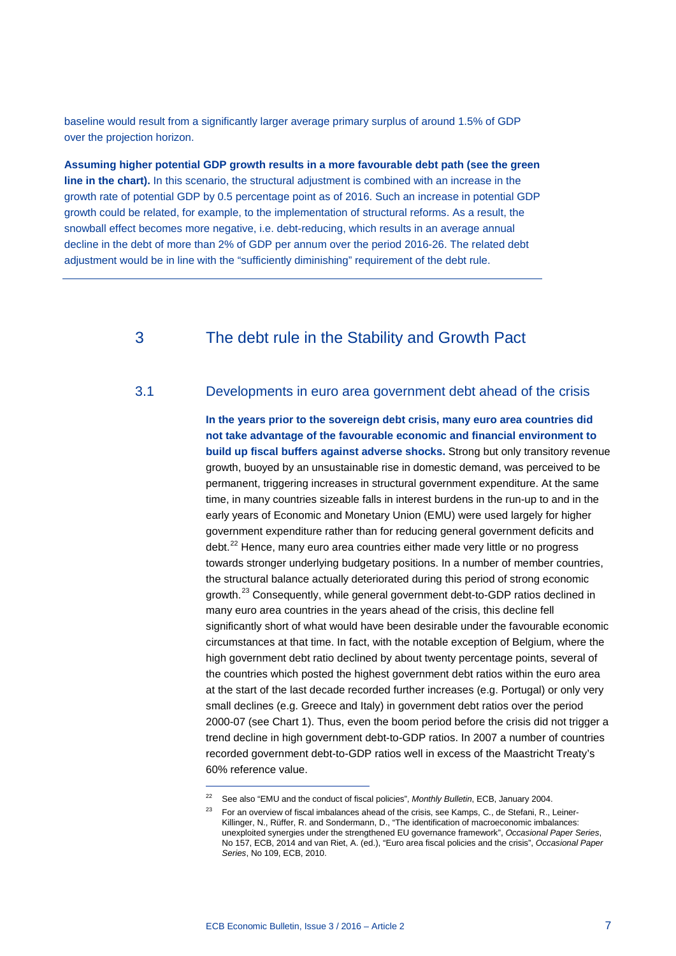baseline would result from a significantly larger average primary surplus of around 1.5% of GDP over the projection horizon.

**Assuming higher potential GDP growth results in a more favourable debt path (see the green line in the chart).** In this scenario, the structural adjustment is combined with an increase in the growth rate of potential GDP by 0.5 percentage point as of 2016. Such an increase in potential GDP growth could be related, for example, to the implementation of structural reforms. As a result, the snowball effect becomes more negative, i.e. debt-reducing, which results in an average annual decline in the debt of more than 2% of GDP per annum over the period 2016-26. The related debt adjustment would be in line with the "sufficiently diminishing" requirement of the debt rule.

# 3 The debt rule in the Stability and Growth Pact

## 3.1 Developments in euro area government debt ahead of the crisis

**In the years prior to the sovereign debt crisis, many euro area countries did not take advantage of the favourable economic and financial environment to build up fiscal buffers against adverse shocks.** Strong but only transitory revenue growth, buoyed by an unsustainable rise in domestic demand, was perceived to be permanent, triggering increases in structural government expenditure. At the same time, in many countries sizeable falls in interest burdens in the run-up to and in the early years of Economic and Monetary Union (EMU) were used largely for higher government expenditure rather than for reducing general government deficits and debt.<sup>[22](#page-6-0)</sup> Hence, many euro area countries either made very little or no progress towards stronger underlying budgetary positions. In a number of member countries, the structural balance actually deteriorated during this period of strong economic growth.<sup>[23](#page-6-1)</sup> Consequently, while general government debt-to-GDP ratios declined in many euro area countries in the years ahead of the crisis, this decline fell significantly short of what would have been desirable under the favourable economic circumstances at that time. In fact, with the notable exception of Belgium, where the high government debt ratio declined by about twenty percentage points, several of the countries which posted the highest government debt ratios within the euro area at the start of the last decade recorded further increases (e.g. Portugal) or only very small declines (e.g. Greece and Italy) in government debt ratios over the period 2000-07 (see Chart 1). Thus, even the boom period before the crisis did not trigger a trend decline in high government debt-to-GDP ratios. In 2007 a number of countries recorded government debt-to-GDP ratios well in excess of the Maastricht Treaty's 60% reference value.

<span id="page-6-1"></span><span id="page-6-0"></span><sup>22</sup> See also "EMU and the conduct of fiscal policies", *Monthly Bulletin*, ECB, January 2004.

<sup>&</sup>lt;sup>23</sup> For an overview of fiscal imbalances ahead of the crisis, see Kamps, C., de Stefani, R., Leiner-Killinger, N., Rüffer, R. and Sondermann, D., "The identification of macroeconomic imbalances: unexploited synergies under the strengthened EU governance framework", *Occasional Paper Series*, No 157, ECB, 2014 and van Riet, A. (ed.), "Euro area fiscal policies and the crisis", *Occasional Paper Series*, No 109, ECB, 2010.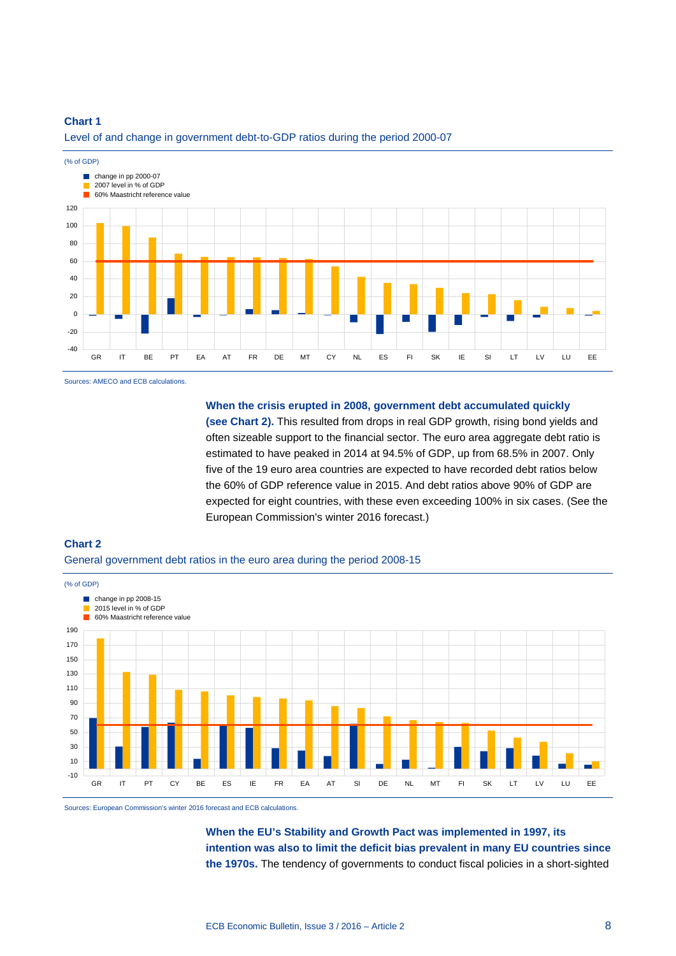#### **Chart 1**



Level of and change in government debt-to-GDP ratios during the period 2000-07

Sources: AMECO and ECB calculations.

**When the crisis erupted in 2008, government debt accumulated quickly** 

**(see Chart 2).** This resulted from drops in real GDP growth, rising bond yields and often sizeable support to the financial sector. The euro area aggregate debt ratio is estimated to have peaked in 2014 at 94.5% of GDP, up from 68.5% in 2007. Only five of the 19 euro area countries are expected to have recorded debt ratios below the 60% of GDP reference value in 2015. And debt ratios above 90% of GDP are expected for eight countries, with these even exceeding 100% in six cases. (See the European Commission's winter 2016 forecast.)

## **Chart 2**  General government debt ratios in the euro area during the period 2008-15



Sources: European Commission's winter 2016 forecast and ECB calculations.

**When the EU's Stability and Growth Pact was implemented in 1997, its intention was also to limit the deficit bias prevalent in many EU countries since the 1970s.** The tendency of governments to conduct fiscal policies in a short-sighted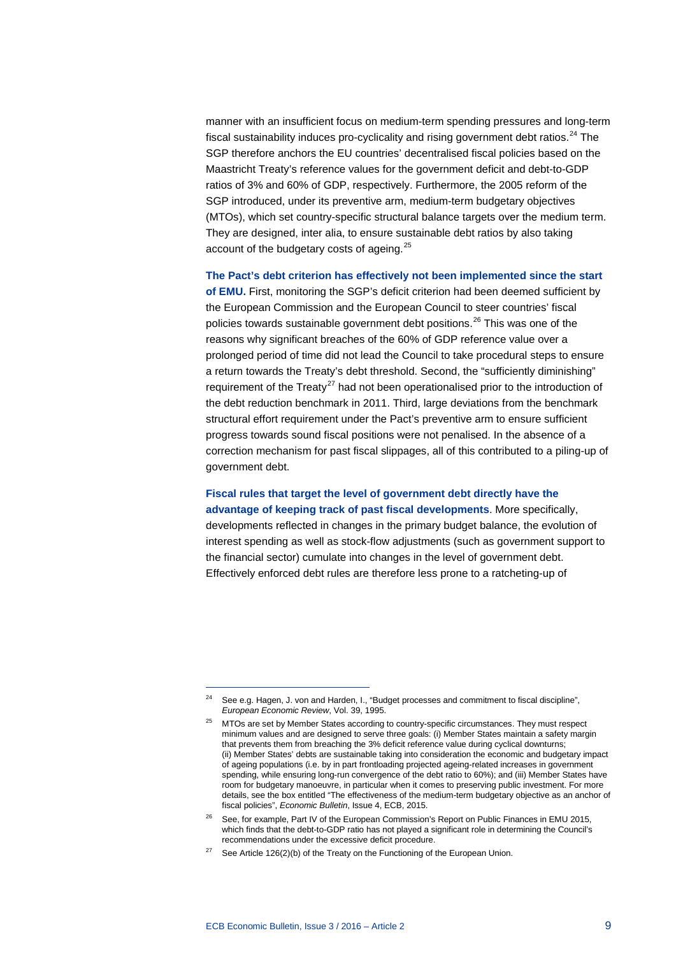manner with an insufficient focus on medium-term spending pressures and long-term fiscal sustainability induces pro-cyclicality and rising government debt ratios. $^{24}$  $^{24}$  $^{24}$  The SGP therefore anchors the EU countries' decentralised fiscal policies based on the Maastricht Treaty's reference values for the government deficit and debt-to-GDP ratios of 3% and 60% of GDP, respectively. Furthermore, the 2005 reform of the SGP introduced, under its preventive arm, medium-term budgetary objectives (MTOs), which set country-specific structural balance targets over the medium term. They are designed, inter alia, to ensure sustainable debt ratios by also taking account of the budgetary costs of ageing.<sup>[25](#page-8-1)</sup>

**The Pact's debt criterion has effectively not been implemented since the start of EMU.** First, monitoring the SGP's deficit criterion had been deemed sufficient by the European Commission and the European Council to steer countries' fiscal policies towards sustainable government debt positions.<sup>[26](#page-8-2)</sup> This was one of the reasons why significant breaches of the 60% of GDP reference value over a prolonged period of time did not lead the Council to take procedural steps to ensure a return towards the Treaty's debt threshold. Second, the "sufficiently diminishing" requirement of the Treaty<sup>[27](#page-8-3)</sup> had not been operationalised prior to the introduction of the debt reduction benchmark in 2011. Third, large deviations from the benchmark structural effort requirement under the Pact's preventive arm to ensure sufficient progress towards sound fiscal positions were not penalised. In the absence of a correction mechanism for past fiscal slippages, all of this contributed to a piling-up of government debt.

#### **Fiscal rules that target the level of government debt directly have the advantage of keeping track of past fiscal developments**. More specifically,

developments reflected in changes in the primary budget balance, the evolution of interest spending as well as stock-flow adjustments (such as government support to the financial sector) cumulate into changes in the level of government debt. Effectively enforced debt rules are therefore less prone to a ratcheting-up of

<span id="page-8-1"></span><span id="page-8-0"></span><sup>&</sup>lt;sup>24</sup> See e.g. Hagen, J. von and Harden, I., "Budget processes and commitment to fiscal discipline", *European Economic Review*, Vol. 39, 1995.

<sup>25</sup> MTOs are set by Member States according to country-specific circumstances. They must respect minimum values and are designed to serve three goals: (i) Member States maintain a safety margin that prevents them from breaching the 3% deficit reference value during cyclical downturns; (ii) Member States' debts are sustainable taking into consideration the economic and budgetary impact of ageing populations (i.e. by in part frontloading projected ageing-related increases in government spending, while ensuring long-run convergence of the debt ratio to 60%); and (iii) Member States have room for budgetary manoeuvre, in particular when it comes to preserving public investment. For more details, see the box entitled "The effectiveness of the medium-term budgetary objective as an anchor of fiscal policies", *Economic Bulletin*, Issue 4, ECB, 2015.

<span id="page-8-2"></span><sup>&</sup>lt;sup>26</sup> See, for example, Part IV of the European Commission's Report on Public Finances in EMU 2015, which finds that the debt-to-GDP ratio has not played a significant role in determining the Council's recommendations under the excessive deficit procedure.

<span id="page-8-3"></span><sup>&</sup>lt;sup>27</sup> See Article 126(2)(b) of the Treaty on the Functioning of the European Union.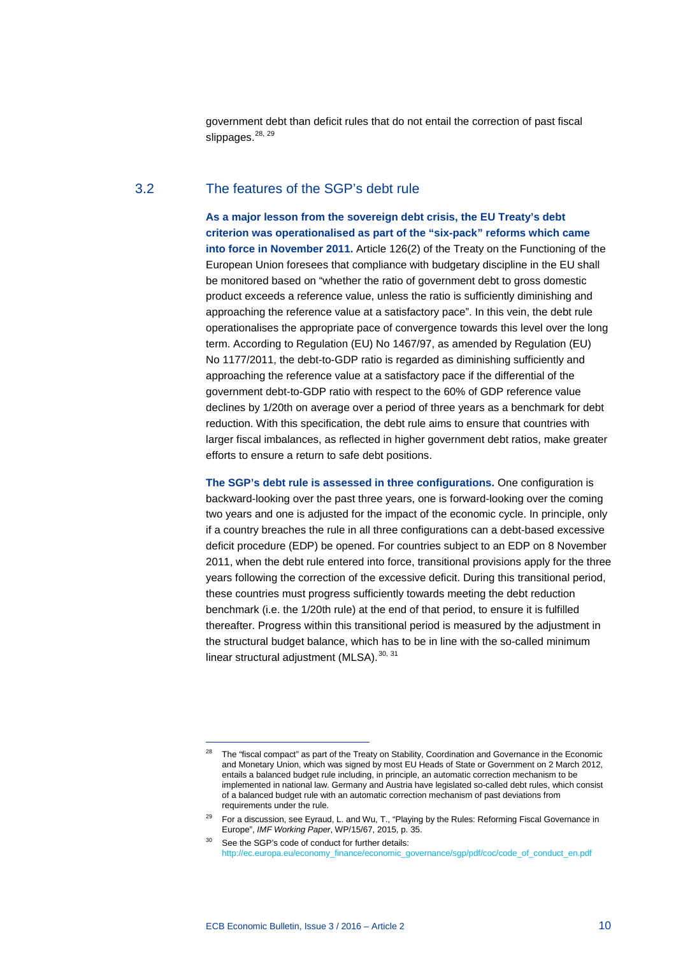government debt than deficit rules that do not entail the correction of past fiscal slippages.<sup>[28](#page-9-0), [29](#page-9-1)</sup>

# 3.2 The features of the SGP's debt rule

**As a major lesson from the sovereign debt crisis, the EU Treaty's debt criterion was operationalised as part of the "six-pack" reforms which came into force in November 2011.** Article 126(2) of the Treaty on the Functioning of the European Union foresees that compliance with budgetary discipline in the EU shall be monitored based on "whether the ratio of government debt to gross domestic product exceeds a reference value, unless the ratio is sufficiently diminishing and approaching the reference value at a satisfactory pace". In this vein, the debt rule operationalises the appropriate pace of convergence towards this level over the long term. According to Regulation (EU) No 1467/97, as amended by Regulation (EU) No 1177/2011, the debt-to-GDP ratio is regarded as diminishing sufficiently and approaching the reference value at a satisfactory pace if the differential of the government debt-to-GDP ratio with respect to the 60% of GDP reference value declines by 1/20th on average over a period of three years as a benchmark for debt reduction. With this specification, the debt rule aims to ensure that countries with larger fiscal imbalances, as reflected in higher government debt ratios, make greater efforts to ensure a return to safe debt positions.

**The SGP's debt rule is assessed in three configurations.** One configuration is backward-looking over the past three years, one is forward-looking over the coming two years and one is adjusted for the impact of the economic cycle. In principle, only if a country breaches the rule in all three configurations can a debt-based excessive deficit procedure (EDP) be opened. For countries subject to an EDP on 8 November 2011, when the debt rule entered into force, transitional provisions apply for the three years following the correction of the excessive deficit. During this transitional period, these countries must progress sufficiently towards meeting the debt reduction benchmark (i.e. the 1/20th rule) at the end of that period, to ensure it is fulfilled thereafter. Progress within this transitional period is measured by the adjustment in the structural budget balance, which has to be in line with the so-called minimum linear structural adjustment (MLSA).<sup>[30](#page-9-2), [31](#page-9-3)</sup>

<span id="page-9-3"></span><span id="page-9-0"></span><sup>28</sup> The "fiscal compact" as part of the Treaty on Stability, Coordination and Governance in the Economic and Monetary Union, which was signed by most EU Heads of State or Government on 2 March 2012, entails a balanced budget rule including, in principle, an automatic correction mechanism to be implemented in national law. Germany and Austria have legislated so-called debt rules, which consist of a balanced budget rule with an automatic correction mechanism of past deviations from requirements under the rule.

<span id="page-9-1"></span><sup>&</sup>lt;sup>29</sup> For a discussion, see Eyraud, L. and Wu, T., "Playing by the Rules: Reforming Fiscal Governance in Europe", *IMF Working Paper*, WP/15/67, 2015, p. 35.

<span id="page-9-2"></span><sup>30</sup> See the SGP's code of conduct for further details: [http://ec.europa.eu/economy\\_finance/economic\\_governance/sgp/pdf/coc/code\\_of\\_conduct\\_en.pdf](http://ec.europa.eu/economy_finance/economic_governance/sgp/pdf/coc/code_of_conduct_en.pdf)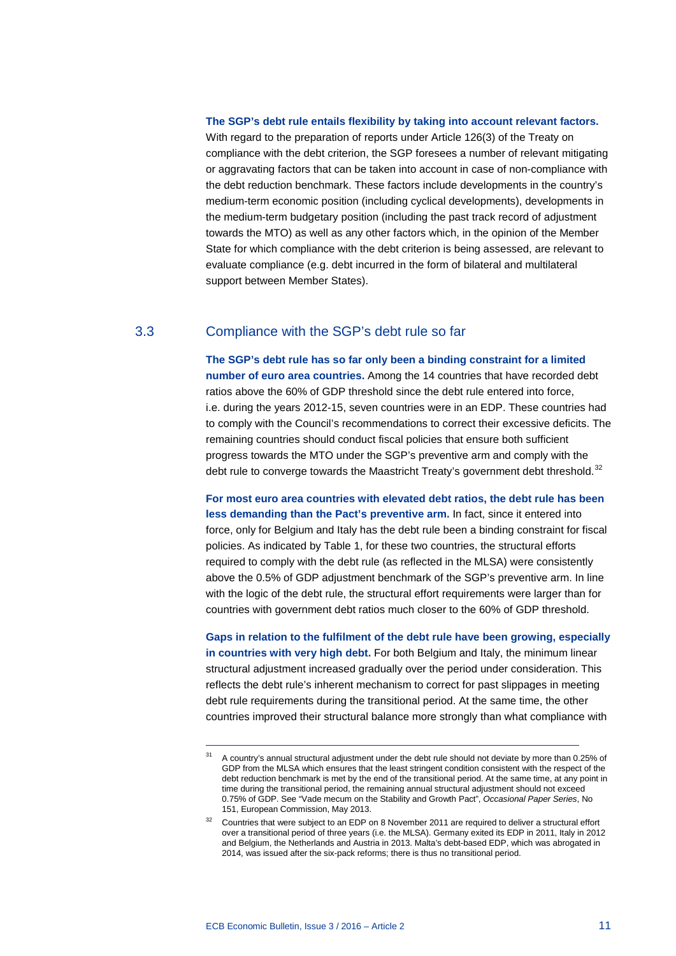#### **The SGP's debt rule entails flexibility by taking into account relevant factors.**

With regard to the preparation of reports under Article 126(3) of the Treaty on compliance with the debt criterion, the SGP foresees a number of relevant mitigating or aggravating factors that can be taken into account in case of non-compliance with the debt reduction benchmark. These factors include developments in the country's medium-term economic position (including cyclical developments), developments in the medium-term budgetary position (including the past track record of adjustment towards the MTO) as well as any other factors which, in the opinion of the Member State for which compliance with the debt criterion is being assessed, are relevant to evaluate compliance (e.g. debt incurred in the form of bilateral and multilateral support between Member States).

### 3.3 Compliance with the SGP's debt rule so far

**The SGP's debt rule has so far only been a binding constraint for a limited number of euro area countries.** Among the 14 countries that have recorded debt ratios above the 60% of GDP threshold since the debt rule entered into force, i.e. during the years 2012-15, seven countries were in an EDP. These countries had to comply with the Council's recommendations to correct their excessive deficits. The remaining countries should conduct fiscal policies that ensure both sufficient progress towards the MTO under the SGP's preventive arm and comply with the debt rule to converge towards the Maastricht Treaty's government debt threshold.<sup>[32](#page-10-0)</sup>

**For most euro area countries with elevated debt ratios, the debt rule has been less demanding than the Pact's preventive arm.** In fact, since it entered into force, only for Belgium and Italy has the debt rule been a binding constraint for fiscal policies. As indicated by Table 1, for these two countries, the structural efforts required to comply with the debt rule (as reflected in the MLSA) were consistently above the 0.5% of GDP adjustment benchmark of the SGP's preventive arm. In line with the logic of the debt rule, the structural effort requirements were larger than for countries with government debt ratios much closer to the 60% of GDP threshold.

**Gaps in relation to the fulfilment of the debt rule have been growing, especially in countries with very high debt.** For both Belgium and Italy, the minimum linear structural adjustment increased gradually over the period under consideration. This reflects the debt rule's inherent mechanism to correct for past slippages in meeting debt rule requirements during the transitional period. At the same time, the other countries improved their structural balance more strongly than what compliance with

<sup>&</sup>lt;sup>31</sup> A country's annual structural adjustment under the debt rule should not deviate by more than 0.25% of GDP from the MLSA which ensures that the least stringent condition consistent with the respect of the debt reduction benchmark is met by the end of the transitional period. At the same time, at any point in time during the transitional period, the remaining annual structural adjustment should not exceed 0.75% of GDP. See "Vade mecum on the Stability and Growth Pact", *Occasional Paper Series*, No 151, European Commission, May 2013.

<span id="page-10-0"></span><sup>32</sup> Countries that were subject to an EDP on 8 November 2011 are required to deliver a structural effort over a transitional period of three years (i.e. the MLSA). Germany exited its EDP in 2011, Italy in 2012 and Belgium, the Netherlands and Austria in 2013. Malta's debt-based EDP, which was abrogated in 2014, was issued after the six-pack reforms; there is thus no transitional period.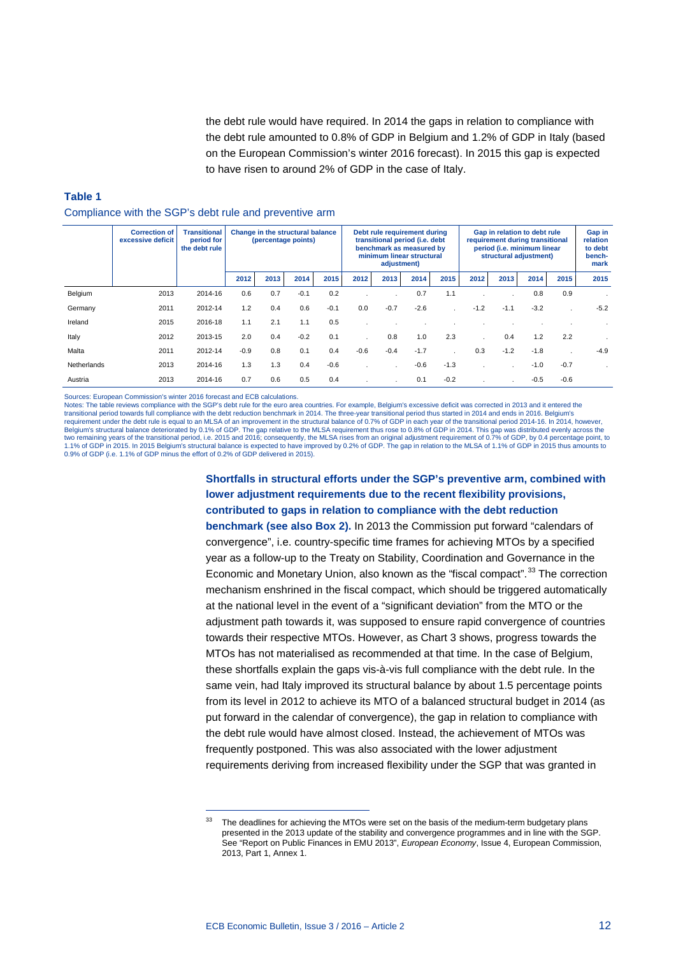the debt rule would have required. In 2014 the gaps in relation to compliance with the debt rule amounted to 0.8% of GDP in Belgium and 1.2% of GDP in Italy (based on the European Commission's winter 2016 forecast). In 2015 this gap is expected to have risen to around 2% of GDP in the case of Italy.

# **Table 1** Compliance with the SGP's debt rule and preventive arm

|             | <b>Correction of</b><br>excessive deficit | <b>Transitional</b><br>period for<br>the debt rule | Change in the structural balance<br>(percentage points) |      |        |        | Debt rule requirement during<br>transitional period (i.e. debt<br>benchmark as measured by<br>minimum linear structural<br>adjustment) |        |        |        | Gap in relation to debt rule<br>requirement during transitional<br>period (i.e. minimum linear<br>structural adjustment) |        |        |        | Gap in<br>relation<br>to debt<br>bench-<br>mark |
|-------------|-------------------------------------------|----------------------------------------------------|---------------------------------------------------------|------|--------|--------|----------------------------------------------------------------------------------------------------------------------------------------|--------|--------|--------|--------------------------------------------------------------------------------------------------------------------------|--------|--------|--------|-------------------------------------------------|
|             |                                           |                                                    | 2012                                                    | 2013 | 2014   | 2015   | 2012                                                                                                                                   | 2013   | 2014   | 2015   | 2012                                                                                                                     | 2013   | 2014   | 2015   | 2015                                            |
| Belgium     | 2013                                      | 2014-16                                            | 0.6                                                     | 0.7  | $-0.1$ | 0.2    |                                                                                                                                        |        | 0.7    | 1.1    |                                                                                                                          |        | 0.8    | 0.9    |                                                 |
| Germany     | 2011                                      | 2012-14                                            | 1.2                                                     | 0.4  | 0.6    | $-0.1$ | 0.0                                                                                                                                    | $-0.7$ | $-2.6$ |        | $-1.2$                                                                                                                   | $-1.1$ | $-3.2$ |        | $-5.2$                                          |
| Ireland     | 2015                                      | 2016-18                                            | 1.1                                                     | 2.1  | 1.1    | 0.5    |                                                                                                                                        |        |        |        |                                                                                                                          |        |        |        |                                                 |
| Italy       | 2012                                      | 2013-15                                            | 2.0                                                     | 0.4  | $-0.2$ | 0.1    |                                                                                                                                        | 0.8    | 1.0    | 2.3    |                                                                                                                          | 0.4    | 1.2    | 2.2    |                                                 |
| Malta       | 2011                                      | 2012-14                                            | $-0.9$                                                  | 0.8  | 0.1    | 0.4    | $-0.6$                                                                                                                                 | $-0.4$ | $-1.7$ |        | 0.3                                                                                                                      | $-1.2$ | $-1.8$ |        | $-4.9$                                          |
| Netherlands | 2013                                      | 2014-16                                            | 1.3                                                     | 1.3  | 0.4    | $-0.6$ |                                                                                                                                        |        | $-0.6$ | $-1.3$ |                                                                                                                          | ×.     | $-1.0$ | $-0.7$ |                                                 |
| Austria     | 2013                                      | 2014-16                                            | 0.7                                                     | 0.6  | 0.5    | 0.4    |                                                                                                                                        |        | 0.1    | $-0.2$ |                                                                                                                          |        | $-0.5$ | $-0.6$ |                                                 |

Sources: European Commission's winter 2016 forecast and ECB calculations.

-

Notes: The table reviews compliance with the SGP's debt rule for the euro area countries. For example, Belgium's excessive deficit was corrected in 2013 and it entered the transitional period towards full compliance with the debt reduction benchmark in 2014. The three-year transitional period thus started in 2014 and ends in 2016. Belgium's<br>requirement under the debt rule is equal to an MLSA Belgium's structural balance deteriorated by 0.1% of GDP. The gap relative to the MLSA requirement thus rose to 0.8% of GDP in 2014. This gap was distributed evenly across the<br>two remaining years of the transitional period 1.1% of GDP in 2015. In 2015 Belgium's structural balance is expected to have improved by 0.2% of GDP. The gap in relation to the MLSA of 1.1% of GDP in 2015 thus amounts to 0.9% of GDP (i.e. 1.1% of GDP minus the effort of 0.2% of GDP delivered in 2015).

# **Shortfalls in structural efforts under the SGP's preventive arm, combined with lower adjustment requirements due to the recent flexibility provisions, contributed to gaps in relation to compliance with the debt reduction**

**benchmark (see also Box 2).** In 2013 the Commission put forward "calendars of convergence", i.e. country-specific time frames for achieving MTOs by a specified year as a follow-up to the Treaty on Stability, Coordination and Governance in the Economic and Monetary Union, also known as the "fiscal compact".<sup>[33](#page-11-0)</sup> The correction mechanism enshrined in the fiscal compact, which should be triggered automatically at the national level in the event of a "significant deviation" from the MTO or the adjustment path towards it, was supposed to ensure rapid convergence of countries towards their respective MTOs. However, as Chart 3 shows, progress towards the MTOs has not materialised as recommended at that time. In the case of Belgium, these shortfalls explain the gaps vis-à-vis full compliance with the debt rule. In the same vein, had Italy improved its structural balance by about 1.5 percentage points from its level in 2012 to achieve its MTO of a balanced structural budget in 2014 (as put forward in the calendar of convergence), the gap in relation to compliance with the debt rule would have almost closed. Instead, the achievement of MTOs was frequently postponed. This was also associated with the lower adjustment requirements deriving from increased flexibility under the SGP that was granted in

<span id="page-11-0"></span>The deadlines for achieving the MTOs were set on the basis of the medium-term budgetary plans presented in the 2013 update of the stability and convergence programmes and in line with the SGP. See "Report on Public Finances in EMU 2013", *European Economy*, Issue 4, European Commission, 2013, Part 1, Annex 1.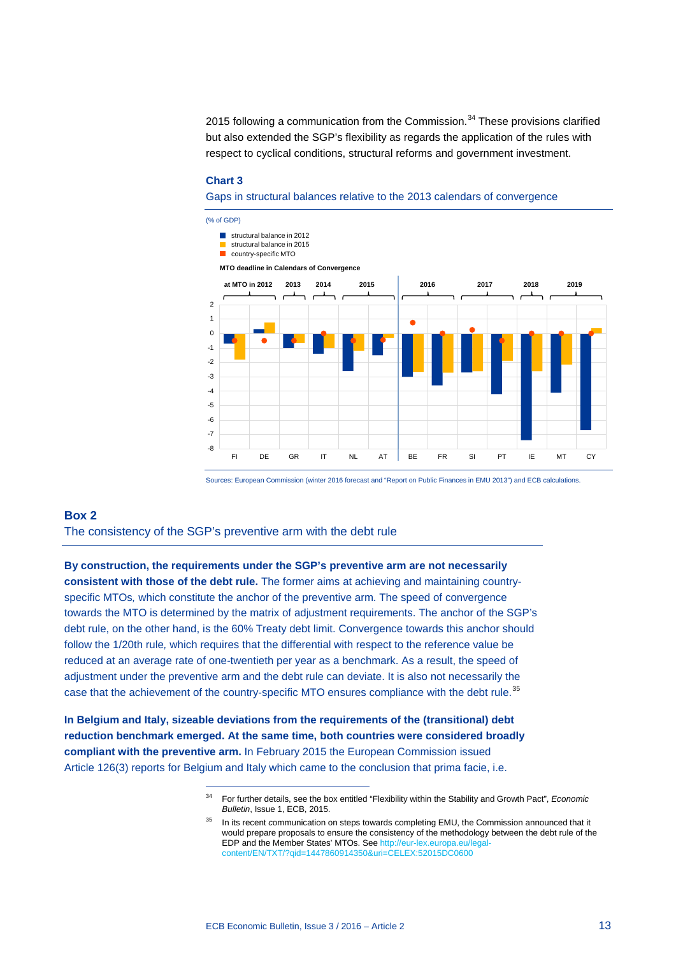2015 following a communication from the Commission. [34](#page-12-0) These provisions clarified but also extended the SGP's flexibility as regards the application of the rules with respect to cyclical conditions, structural reforms and government investment.

#### **Chart 3**

Gaps in structural balances relative to the 2013 calendars of convergence



Sources: European Commission (winter 2016 forecast and "Report on Public Finances in EMU 2013") and ECB calculations.

#### **Box 2**

The consistency of the SGP's preventive arm with the debt rule

-

**By construction, the requirements under the SGP's preventive arm are not necessarily consistent with those of the debt rule.** The former aims at achieving and maintaining countryspecific MTOs*,* which constitute the anchor of the preventive arm. The speed of convergence towards the MTO is determined by the matrix of adjustment requirements. The anchor of the SGP's debt rule, on the other hand, is the 60% Treaty debt limit. Convergence towards this anchor should follow the 1/20th rule*,* which requires that the differential with respect to the reference value be reduced at an average rate of one*-*twentieth per year as a benchmark. As a result, the speed of adjustment under the preventive arm and the debt rule can deviate. It is also not necessarily the case that the achievement of the country-specific MTO ensures compliance with the debt rule.<sup>[35](#page-12-1)</sup>

<span id="page-12-1"></span><span id="page-12-0"></span>**In Belgium and Italy, sizeable deviations from the requirements of the (transitional) debt reduction benchmark emerged. At the same time, both countries were considered broadly compliant with the preventive arm.** In February 2015 the European Commission issued Article 126(3) reports for Belgium and Italy which came to the conclusion that prima facie, i.e.

<sup>34</sup> For further details, see the box entitled "Flexibility within the Stability and Growth Pact", *Economic Bulletin*, Issue 1, ECB, 2015.

<sup>35</sup> In its recent *c*ommunication on steps towards completing EMU, the Commission announced that it would prepare proposals to ensure the consistency of the methodology between the debt rule of the EDP and the Member States' MTOs. See http://eur-lex.europa.eu/leg [content/EN/TXT/?qid=1447860914350&uri=CELEX:52015DC0600](http://eur-lex.europa.eu/legal-content/EN/TXT/?qid=1447860914350&uri=CELEX:52015DC0600)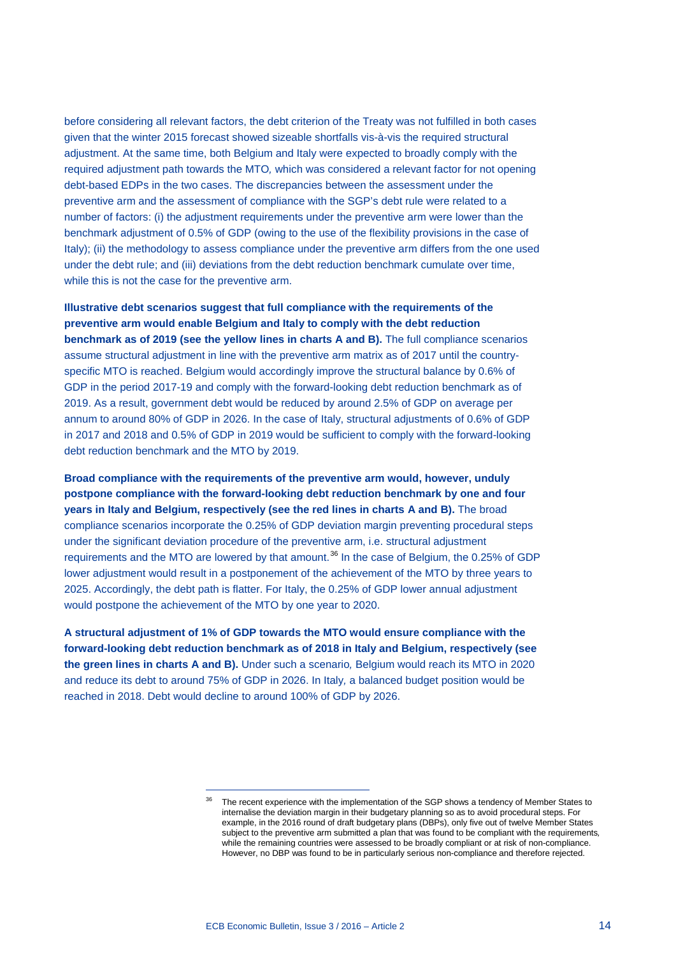before considering all relevant factors, the debt criterion of the Treaty was not fulfilled in both cases given that the winter 2015 forecast showed sizeable shortfalls vis-à-vis the required structural adjustment. At the same time, both Belgium and Italy were expected to broadly comply with the required adjustment path towards the MTO*,* which was considered a relevant factor for not opening debt-based EDPs in the two cases. The discrepancies between the assessment under the preventive arm and the assessment of compliance with the SGP's debt rule were related to a number of factors: (i) the adjustment requirements under the preventive arm were lower than the benchmark adjustment of 0.5% of GDP (owing to the use of the flexibility provisions in the case of Italy); (ii) the methodology to assess compliance under the preventive arm differs from the one used under the debt rule; and (iii) deviations from the debt reduction benchmark cumulate over time, while this is not the case for the preventive arm.

**Illustrative debt scenarios suggest that full compliance with the requirements of the preventive arm would enable Belgium and Italy to comply with the debt reduction benchmark as of 2019 (see the yellow lines in charts A and B).** The full compliance scenarios assume structural adjustment in line with the preventive arm matrix as of 2017 until the countryspecific MTO is reached. Belgium would accordingly improve the structural balance by 0.6% of GDP in the period 2017-19 and comply with the forward*-*looking debt reduction benchmark as of 2019. As a result, government debt would be reduced by around 2.5% of GDP on average per annum to around 80% of GDP in 2026. In the case of Italy, structural adjustments of 0.6% of GDP in 2017 and 2018 and 0.5% of GDP in 2019 would be sufficient to comply with the forward*-*looking debt reduction benchmark and the MTO by 2019.

**Broad compliance with the requirements of the preventive arm would, however, unduly postpone compliance with the forward-looking debt reduction benchmark by one and four years in Italy and Belgium, respectively (see the red lines in charts A and B).** The broad compliance scenarios incorporate the 0.25% of GDP deviation margin preventing procedural steps under the significant deviation procedure of the preventive arm, i.e. structural adjustment requirements and the MTO are lowered by that amount.<sup>[36](#page-13-0)</sup> In the case of Belgium, the 0.25% of GDP lower adjustment would result in a postponement of the achievement of the MTO by three years to 2025. Accordingly, the debt path is flatter. For Italy, the 0.25% of GDP lower annual adjustment would postpone the achievement of the MTO by one year to 2020.

<span id="page-13-0"></span>**A structural adjustment of 1% of GDP towards the MTO would ensure compliance with the forward-looking debt reduction benchmark as of 2018 in Italy and Belgium, respectively (see the green lines in charts A and B).** Under such a scenario*,* Belgium would reach its MTO in 2020 and reduce its debt to around 75% of GDP in 2026. In Italy*,* a balanced budget position would be reached in 2018. Debt would decline to around 100% of GDP by 2026.

<sup>&</sup>lt;sup>36</sup> The recent experience with the implementation of the SGP shows a tendency of Member States to internalise the deviation margin in their budgetary planning so as to avoid procedural steps. For example, in the 2016 round of draft budgetary plans (DBPs), only five out of twelve Member States subject to the preventive arm submitted a plan that was found to be compliant with the requirements*,* while the remaining countries were assessed to be broadly compliant or at risk of non-compliance. However, no DBP was found to be in particularly serious non-compliance and therefore rejected.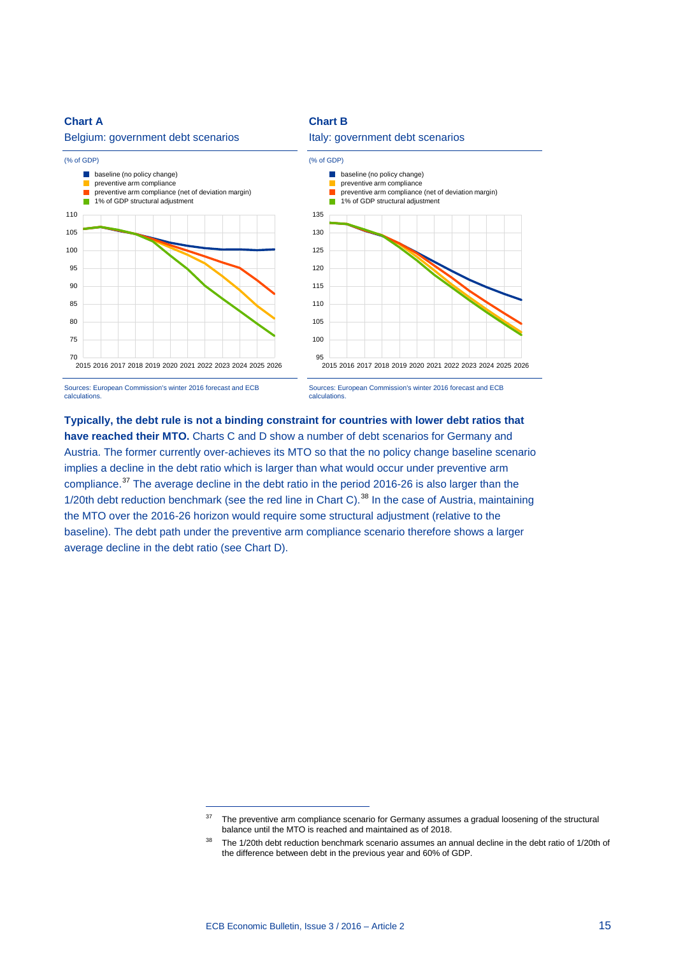#### **Chart A**

#### Belgium: government debt scenarios



# Italy: government debt scenarios

**Chart B**



Sources: European Commission's winter 2016 forecast and ECB calculations.



# **Typically, the debt rule is not a binding constraint for countries with lower debt ratios that**  have reached their MTO. Charts C and D show a number of debt scenarios for Germany and Austria. The former currently over-achieves its MTO so that the no policy change baseline scenario implies a decline in the debt ratio which is larger than what would occur under preventive arm compliance.<sup>[37](#page-14-0)</sup> The average decline in the debt ratio in the period 2016-26 is also larger than the 1/20th debt reduction benchmark (see the red line in Chart C).<sup>[38](#page-14-1)</sup> In the case of Austria, maintaining the MTO over the 2016-26 horizon would require some structural adjustment (relative to the baseline). The debt path under the preventive arm compliance scenario therefore shows a larger

average decline in the debt ratio (see Chart D).

<span id="page-14-0"></span><sup>&</sup>lt;sup>37</sup> The preventive arm compliance scenario for Germany assumes a gradual loosening of the structural balance until the MTO is reached and maintained as of 2018.

<span id="page-14-1"></span><sup>&</sup>lt;sup>38</sup> The 1/20th debt reduction benchmark scenario assumes an annual decline in the debt ratio of 1/20th of the difference between debt in the previous year and 60% of GDP.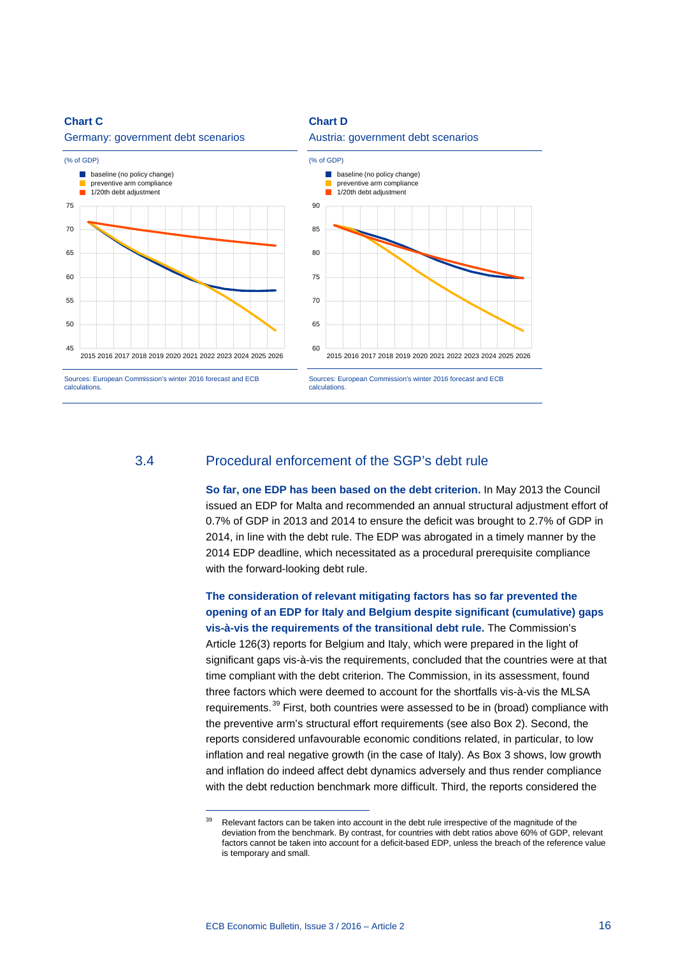#### **Chart C**

#### Germany: government debt scenarios



#### Austria: government debt scenarios

**Chart D**



## 3.4 Procedural enforcement of the SGP's debt rule

**So far, one EDP has been based on the debt criterion.** In May 2013 the Council issued an EDP for Malta and recommended an annual structural adjustment effort of 0.7% of GDP in 2013 and 2014 to ensure the deficit was brought to 2.7% of GDP in 2014, in line with the debt rule. The EDP was abrogated in a timely manner by the 2014 EDP deadline, which necessitated as a procedural prerequisite compliance with the forward-looking debt rule.

**The consideration of relevant mitigating factors has so far prevented the opening of an EDP for Italy and Belgium despite significant (cumulative) gaps vis-à-vis the requirements of the transitional debt rule.** The Commission's Article 126(3) reports for Belgium and Italy, which were prepared in the light of significant gaps vis-à-vis the requirements, concluded that the countries were at that time compliant with the debt criterion. The Commission, in its assessment, found three factors which were deemed to account for the shortfalls vis-à-vis the MLSA requirements.<sup>[39](#page-15-0)</sup> First, both countries were assessed to be in (broad) compliance with the preventive arm's structural effort requirements (see also Box 2). Second, the reports considered unfavourable economic conditions related, in particular, to low inflation and real negative growth (in the case of Italy). As Box 3 shows, low growth and inflation do indeed affect debt dynamics adversely and thus render compliance with the debt reduction benchmark more difficult. Third, the reports considered the

<span id="page-15-0"></span><sup>&</sup>lt;sup>39</sup> Relevant factors can be taken into account in the debt rule irrespective of the magnitude of the deviation from the benchmark. By contrast, for countries with debt ratios above 60% of GDP, relevant factors cannot be taken into account for a deficit-based EDP, unless the breach of the reference value is temporary and small.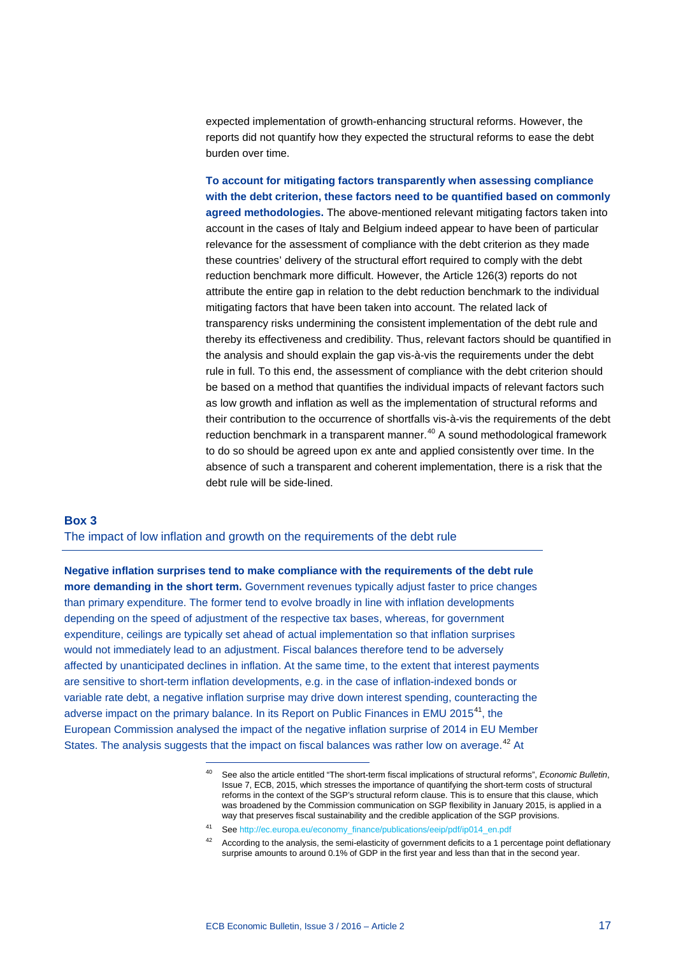expected implementation of growth-enhancing structural reforms. However, the reports did not quantify how they expected the structural reforms to ease the debt burden over time.

**To account for mitigating factors transparently when assessing compliance with the debt criterion, these factors need to be quantified based on commonly agreed methodologies.** The above-mentioned relevant mitigating factors taken into account in the cases of Italy and Belgium indeed appear to have been of particular relevance for the assessment of compliance with the debt criterion as they made these countries' delivery of the structural effort required to comply with the debt reduction benchmark more difficult. However, the Article 126(3) reports do not attribute the entire gap in relation to the debt reduction benchmark to the individual mitigating factors that have been taken into account. The related lack of transparency risks undermining the consistent implementation of the debt rule and thereby its effectiveness and credibility. Thus, relevant factors should be quantified in the analysis and should explain the gap vis-à-vis the requirements under the debt rule in full. To this end, the assessment of compliance with the debt criterion should be based on a method that quantifies the individual impacts of relevant factors such as low growth and inflation as well as the implementation of structural reforms and their contribution to the occurrence of shortfalls vis-à-vis the requirements of the debt reduction benchmark in a transparent manner.<sup>[40](#page-16-0)</sup> A sound methodological framework to do so should be agreed upon ex ante and applied consistently over time. In the absence of such a transparent and coherent implementation, there is a risk that the debt rule will be side-lined.

#### **Box 3**

The impact of low inflation and growth on the requirements of the debt rule

<span id="page-16-0"></span>-

**Negative inflation surprises tend to make compliance with the requirements of the debt rule more demanding in the short term.** Government revenues typically adjust faster to price changes than primary expenditure. The former tend to evolve broadly in line with inflation developments depending on the speed of adjustment of the respective tax bases, whereas, for government expenditure, ceilings are typically set ahead of actual implementation so that inflation surprises would not immediately lead to an adjustment. Fiscal balances therefore tend to be adversely affected by unanticipated declines in inflation. At the same time, to the extent that interest payments are sensitive to short-term inflation developments, e.g. in the case of inflation-indexed bonds or variable rate debt, a negative inflation surprise may drive down interest spending, counteracting the adverse impact on the primary balance. In its Report on Public Finances in EMU 2015<sup>41</sup>, the European Commission analysed the impact of the negative inflation surprise of 2014 in EU Member States. The analysis suggests that the impact on fiscal balances was rather low on average.<sup>[42](#page-16-2)</sup> At

<sup>40</sup> See also the article entitled "The short-term fiscal implications of structural reforms", *Economic Bulletin*, Issue 7, ECB, 2015, which stresses the importance of quantifying the short-term costs of structural reforms in the context of the SGP's structural reform clause. This is to ensure that this clause, which was broadened by the Commission communication on SGP flexibility in January 2015, is applied in a way that preserves fiscal sustainability and the credible application of the SGP provisions.

<span id="page-16-2"></span><span id="page-16-1"></span><sup>41</sup> Se[e http://ec.europa.eu/economy\\_finance/publications/eeip/pdf/ip014\\_en.pdf](http://ec.europa.eu/economy_finance/publications/eeip/pdf/ip014_en.pdf)

<sup>&</sup>lt;sup>42</sup> According to the analysis, the semi-elasticity of government deficits to a 1 percentage point deflationary surprise amounts to around 0.1% of GDP in the first year and less than that in the second year.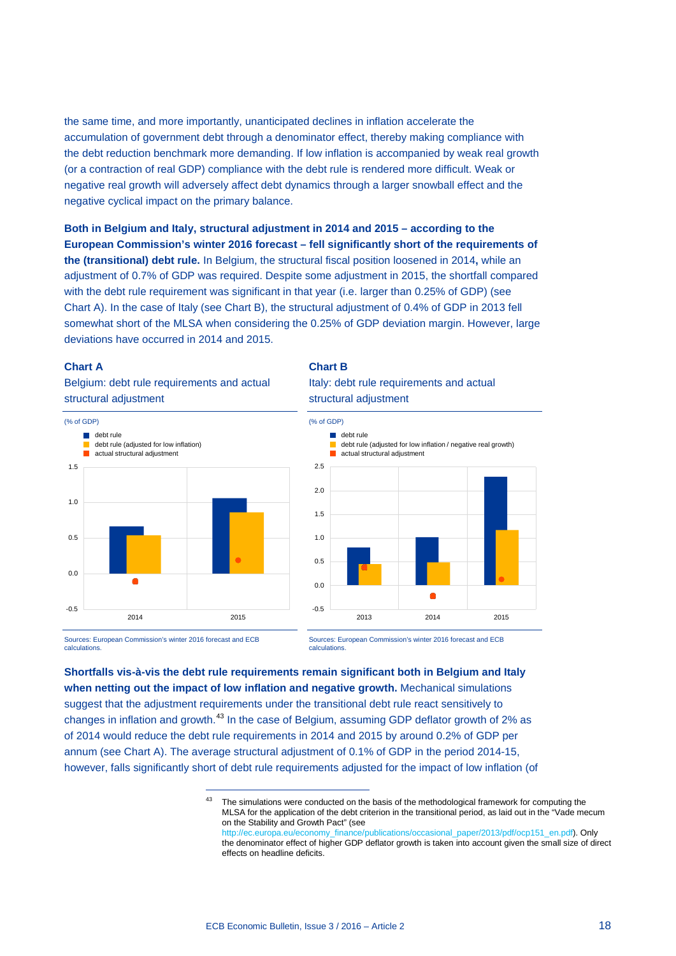the same time, and more importantly, unanticipated declines in inflation accelerate the accumulation of government debt through a denominator effect, thereby making compliance with the debt reduction benchmark more demanding. If low inflation is accompanied by weak real growth (or a contraction of real GDP) compliance with the debt rule is rendered more difficult. Weak or negative real growth will adversely affect debt dynamics through a larger snowball effect and the negative cyclical impact on the primary balance.

**Both in Belgium and Italy, structural adjustment in 2014 and 2015 – according to the European Commission's winter 2016 forecast – fell significantly short of the requirements of the (transitional) debt rule.** In Belgium, the structural fiscal position loosened in 2014**,** while an adjustment of 0.7% of GDP was required. Despite some adjustment in 2015, the shortfall compared with the debt rule requirement was significant in that year (i.e. larger than 0.25% of GDP) (see Chart A). In the case of Italy (see Chart B), the structural adjustment of 0.4% of GDP in 2013 fell somewhat short of the MLSA when considering the 0.25% of GDP deviation margin. However, large deviations have occurred in 2014 and 2015.

#### **Chart A**

Belgium: debt rule requirements and actual structural adjustment



#### **Chart B**

Italy: debt rule requirements and actual structural adjustment



Sources: European Commission's winter 2016 forecast and ECB calculations.

-

Sources: European Commission's winter 2016 forecast and ECB calculations.

<span id="page-17-0"></span>**Shortfalls vis-à-vis the debt rule requirements remain significant both in Belgium and Italy when netting out the impact of low inflation and negative growth.** Mechanical simulations suggest that the adjustment requirements under the transitional debt rule react sensitively to changes in inflation and growth.<sup>[43](#page-17-0)</sup> In the case of Belgium, assuming GDP deflator growth of 2% as of 2014 would reduce the debt rule requirements in 2014 and 2015 by around 0.2% of GDP per annum (see Chart A). The average structural adjustment of 0.1% of GDP in the period 2014-15, however, falls significantly short of debt rule requirements adjusted for the impact of low inflation (of

<sup>&</sup>lt;sup>43</sup> The simulations were conducted on the basis of the methodological framework for computing the MLSA for the application of the debt criterion in the transitional period, as laid out in the "Vade mecum on the Stability and Growth Pact" (see

[http://ec.europa.eu/economy\\_finance/publications/occasional\\_paper/2013/pdf/ocp151\\_en.pdf\)](http://ec.europa.eu/economy_finance/publications/occasional_paper/2013/pdf/ocp151_en.pdf). Only the denominator effect of higher GDP deflator growth is taken into account given the small size of direct effects on headline deficits.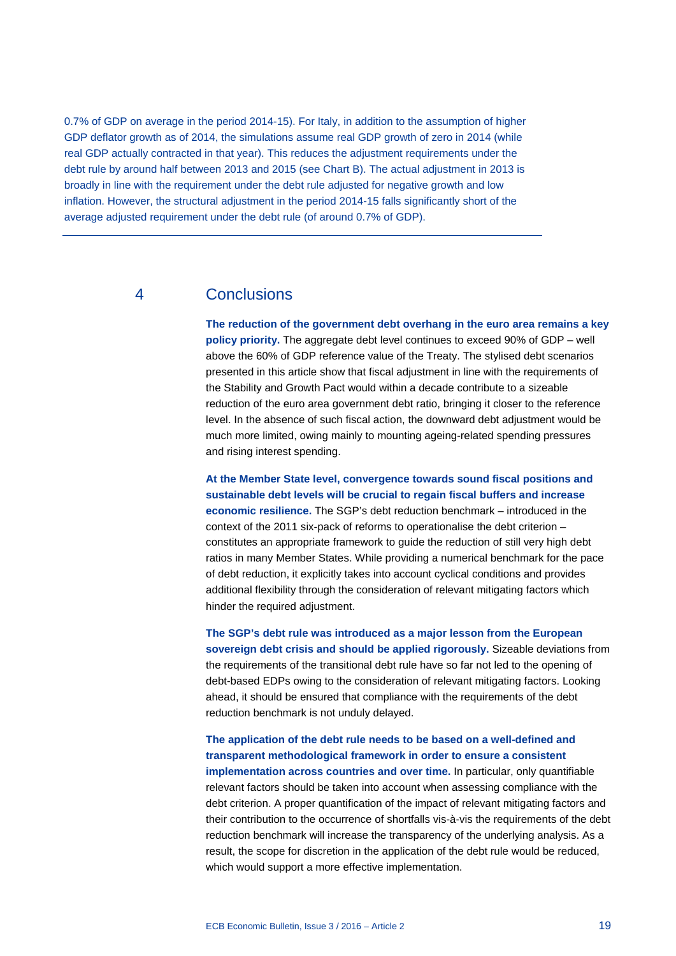0.7% of GDP on average in the period 2014-15). For Italy, in addition to the assumption of higher GDP deflator growth as of 2014, the simulations assume real GDP growth of zero in 2014 (while real GDP actually contracted in that year). This reduces the adjustment requirements under the debt rule by around half between 2013 and 2015 (see Chart B). The actual adjustment in 2013 is broadly in line with the requirement under the debt rule adjusted for negative growth and low inflation. However, the structural adjustment in the period 2014-15 falls significantly short of the average adjusted requirement under the debt rule (of around 0.7% of GDP).

# 4 Conclusions

**The reduction of the government debt overhang in the euro area remains a key policy priority.** The aggregate debt level continues to exceed 90% of GDP – well above the 60% of GDP reference value of the Treaty. The stylised debt scenarios presented in this article show that fiscal adjustment in line with the requirements of the Stability and Growth Pact would within a decade contribute to a sizeable reduction of the euro area government debt ratio, bringing it closer to the reference level. In the absence of such fiscal action, the downward debt adjustment would be much more limited, owing mainly to mounting ageing-related spending pressures and rising interest spending.

**At the Member State level, convergence towards sound fiscal positions and sustainable debt levels will be crucial to regain fiscal buffers and increase economic resilience.** The SGP's debt reduction benchmark – introduced in the context of the 2011 six-pack of reforms to operationalise the debt criterion – constitutes an appropriate framework to guide the reduction of still very high debt ratios in many Member States. While providing a numerical benchmark for the pace of debt reduction, it explicitly takes into account cyclical conditions and provides additional flexibility through the consideration of relevant mitigating factors which hinder the required adjustment.

**The SGP's debt rule was introduced as a major lesson from the European sovereign debt crisis and should be applied rigorously.** Sizeable deviations from the requirements of the transitional debt rule have so far not led to the opening of debt-based EDPs owing to the consideration of relevant mitigating factors. Looking ahead, it should be ensured that compliance with the requirements of the debt reduction benchmark is not unduly delayed.

**The application of the debt rule needs to be based on a well-defined and transparent methodological framework in order to ensure a consistent implementation across countries and over time.** In particular, only quantifiable relevant factors should be taken into account when assessing compliance with the debt criterion. A proper quantification of the impact of relevant mitigating factors and their contribution to the occurrence of shortfalls vis-à-vis the requirements of the debt reduction benchmark will increase the transparency of the underlying analysis. As a result, the scope for discretion in the application of the debt rule would be reduced, which would support a more effective implementation.